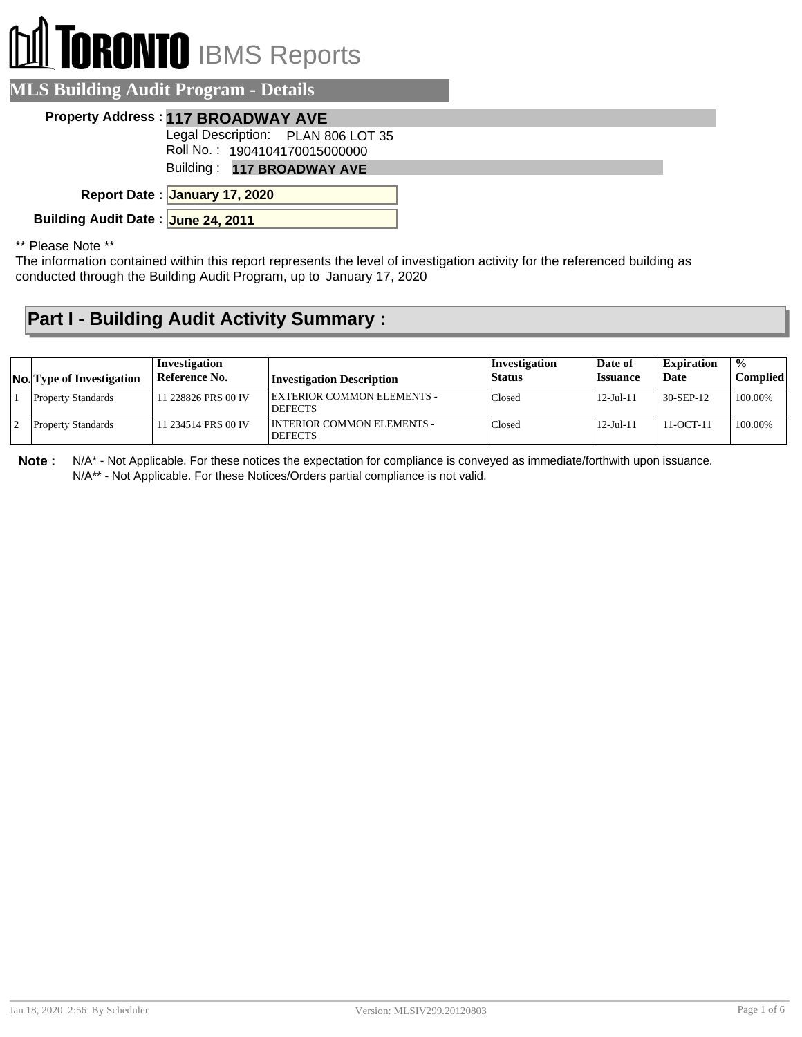## **ORONTO** IBMS Reports

| <b>MLS Building Audit Program - Details</b> |                                                                     |  |  |  |
|---------------------------------------------|---------------------------------------------------------------------|--|--|--|
|                                             | <b>Property Address: 117 BROADWAY AVE</b>                           |  |  |  |
|                                             | Legal Description: PLAN 806 LOT 35<br>Roll No.: 1904104170015000000 |  |  |  |
|                                             | Building: 117 BROADWAY AVE                                          |  |  |  |
|                                             | Report Date: January 17, 2020                                       |  |  |  |
| Building Audit Date: June 24, 2011          |                                                                     |  |  |  |

\*\* Please Note \*\*

The information contained within this report represents the level of investigation activity for the referenced building as conducted through the Building Audit Program, up to January 17, 2020

## **Part I - Building Audit Activity Summary :**

| <b>No.</b> Type of Investigation | Investigation<br>Reference No. | Investigation Description                      | Investigation<br><b>Status</b> | Date of<br><i><b>Issuance</b></i> | <b>Expiration</b><br>Date | $\frac{0}{0}$<br>Compliedl |
|----------------------------------|--------------------------------|------------------------------------------------|--------------------------------|-----------------------------------|---------------------------|----------------------------|
| <b>Property Standards</b>        | 11 228826 PRS 00 IV            | EXTERIOR COMMON ELEMENTS -<br><b>DEFECTS</b>   | Closed                         | $12 -$ Jul-11                     | 30-SEP-12                 | 100.00%                    |
| <b>Property Standards</b>        | 11 234514 PRS 00 IV            | I INTERIOR COMMON ELEMENTS -<br><b>DEFECTS</b> | Closed                         | 12-Jul-11                         | $11-OCT-11$               | 100.00%                    |

**Note :** N/A\* - Not Applicable. For these notices the expectation for compliance is conveyed as immediate/forthwith upon issuance. N/A\*\* - Not Applicable. For these Notices/Orders partial compliance is not valid.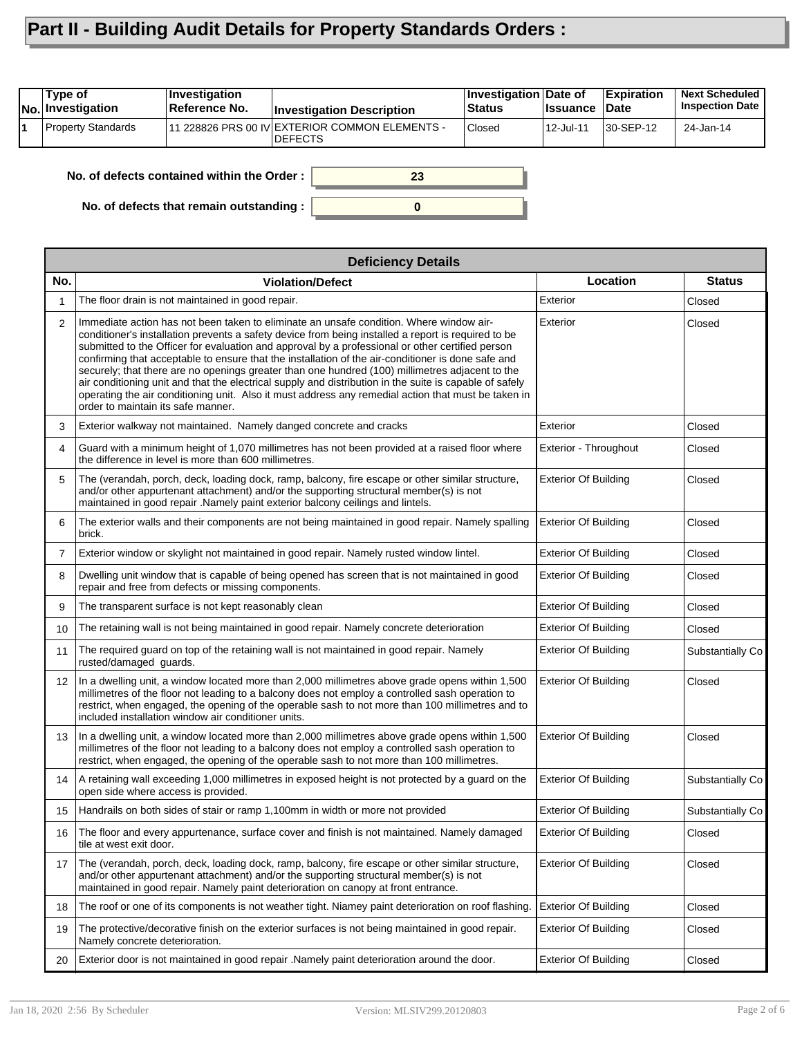## **Part II - Building Audit Details for Property Standards Orders :**

| Type of<br>No. Investigation | Investigation<br>Reference No.             | <b>Investigation Description</b>                                 | <b>Investigation Date of</b><br><b>Status</b> | <b>Issuance</b> | <b>Expiration</b><br><b>Date</b> | <b>Next Scheduled</b><br><b>Inspection Date</b> |
|------------------------------|--------------------------------------------|------------------------------------------------------------------|-----------------------------------------------|-----------------|----------------------------------|-------------------------------------------------|
| Property Standards           |                                            | 11 228826 PRS 00 IV EXTERIOR COMMON ELEMENTS -<br><b>DEFECTS</b> | Closed                                        | 12-Jul-11       | 30-SEP-12                        | 24-Jan-14                                       |
|                              | No. of defects contained within the Order: | 23                                                               |                                               |                 |                                  |                                                 |

**0**

**No. of defects that remain outstanding :**

|                | <b>Deficiency Details</b>                                                                                                                                                                                                                                                                                                                                                                                                                                                                                                                                                                                                                                                                                                                                           |                             |                  |  |  |  |  |
|----------------|---------------------------------------------------------------------------------------------------------------------------------------------------------------------------------------------------------------------------------------------------------------------------------------------------------------------------------------------------------------------------------------------------------------------------------------------------------------------------------------------------------------------------------------------------------------------------------------------------------------------------------------------------------------------------------------------------------------------------------------------------------------------|-----------------------------|------------------|--|--|--|--|
| No.            | <b>Violation/Defect</b>                                                                                                                                                                                                                                                                                                                                                                                                                                                                                                                                                                                                                                                                                                                                             | Location                    | <b>Status</b>    |  |  |  |  |
| 1              | The floor drain is not maintained in good repair.                                                                                                                                                                                                                                                                                                                                                                                                                                                                                                                                                                                                                                                                                                                   | Exterior                    | Closed           |  |  |  |  |
| 2              | Immediate action has not been taken to eliminate an unsafe condition. Where window air-<br>conditioner's installation prevents a safety device from being installed a report is required to be<br>submitted to the Officer for evaluation and approval by a professional or other certified person<br>confirming that acceptable to ensure that the installation of the air-conditioner is done safe and<br>securely; that there are no openings greater than one hundred (100) millimetres adjacent to the<br>air conditioning unit and that the electrical supply and distribution in the suite is capable of safely<br>operating the air conditioning unit. Also it must address any remedial action that must be taken in<br>order to maintain its safe manner. | Exterior                    | Closed           |  |  |  |  |
| 3              | Exterior walkway not maintained. Namely danged concrete and cracks                                                                                                                                                                                                                                                                                                                                                                                                                                                                                                                                                                                                                                                                                                  | Exterior                    | Closed           |  |  |  |  |
| 4              | Guard with a minimum height of 1,070 millimetres has not been provided at a raised floor where<br>the difference in level is more than 600 millimetres.                                                                                                                                                                                                                                                                                                                                                                                                                                                                                                                                                                                                             | Exterior - Throughout       | Closed           |  |  |  |  |
| 5              | The (verandah, porch, deck, loading dock, ramp, balcony, fire escape or other similar structure,<br>and/or other appurtenant attachment) and/or the supporting structural member(s) is not<br>maintained in good repair .Namely paint exterior balcony ceilings and lintels.                                                                                                                                                                                                                                                                                                                                                                                                                                                                                        | <b>Exterior Of Building</b> | Closed           |  |  |  |  |
| 6              | The exterior walls and their components are not being maintained in good repair. Namely spalling<br>brick.                                                                                                                                                                                                                                                                                                                                                                                                                                                                                                                                                                                                                                                          | <b>Exterior Of Building</b> | Closed           |  |  |  |  |
| $\overline{7}$ | Exterior window or skylight not maintained in good repair. Namely rusted window lintel.                                                                                                                                                                                                                                                                                                                                                                                                                                                                                                                                                                                                                                                                             | <b>Exterior Of Building</b> | Closed           |  |  |  |  |
| 8              | Dwelling unit window that is capable of being opened has screen that is not maintained in good<br>repair and free from defects or missing components.                                                                                                                                                                                                                                                                                                                                                                                                                                                                                                                                                                                                               | <b>Exterior Of Building</b> | Closed           |  |  |  |  |
| 9              | The transparent surface is not kept reasonably clean                                                                                                                                                                                                                                                                                                                                                                                                                                                                                                                                                                                                                                                                                                                | <b>Exterior Of Building</b> | Closed           |  |  |  |  |
| 10             | The retaining wall is not being maintained in good repair. Namely concrete deterioration                                                                                                                                                                                                                                                                                                                                                                                                                                                                                                                                                                                                                                                                            | <b>Exterior Of Building</b> | Closed           |  |  |  |  |
| 11             | The required guard on top of the retaining wall is not maintained in good repair. Namely<br>rusted/damaged guards.                                                                                                                                                                                                                                                                                                                                                                                                                                                                                                                                                                                                                                                  | <b>Exterior Of Building</b> | Substantially Co |  |  |  |  |
| 12             | In a dwelling unit, a window located more than 2,000 millimetres above grade opens within 1,500<br>millimetres of the floor not leading to a balcony does not employ a controlled sash operation to<br>restrict, when engaged, the opening of the operable sash to not more than 100 millimetres and to<br>included installation window air conditioner units.                                                                                                                                                                                                                                                                                                                                                                                                      | <b>Exterior Of Building</b> | Closed           |  |  |  |  |
| 13             | In a dwelling unit, a window located more than 2,000 millimetres above grade opens within 1,500<br>millimetres of the floor not leading to a balcony does not employ a controlled sash operation to<br>restrict, when engaged, the opening of the operable sash to not more than 100 millimetres.                                                                                                                                                                                                                                                                                                                                                                                                                                                                   | <b>Exterior Of Building</b> | Closed           |  |  |  |  |
| 14             | A retaining wall exceeding 1,000 millimetres in exposed height is not protected by a guard on the<br>open side where access is provided.                                                                                                                                                                                                                                                                                                                                                                                                                                                                                                                                                                                                                            | <b>Exterior Of Building</b> | Substantially Co |  |  |  |  |
| 15             | Handrails on both sides of stair or ramp 1,100mm in width or more not provided                                                                                                                                                                                                                                                                                                                                                                                                                                                                                                                                                                                                                                                                                      | <b>Exterior Of Building</b> | Substantially Co |  |  |  |  |
| 16             | The floor and every appurtenance, surface cover and finish is not maintained. Namely damaged<br>tile at west exit door.                                                                                                                                                                                                                                                                                                                                                                                                                                                                                                                                                                                                                                             | <b>Exterior Of Building</b> | Closed           |  |  |  |  |
| 17             | The (verandah, porch, deck, loading dock, ramp, balcony, fire escape or other similar structure,<br>and/or other appurtenant attachment) and/or the supporting structural member(s) is not<br>maintained in good repair. Namely paint deterioration on canopy at front entrance.                                                                                                                                                                                                                                                                                                                                                                                                                                                                                    | <b>Exterior Of Building</b> | Closed           |  |  |  |  |
| 18             | The roof or one of its components is not weather tight. Niamey paint deterioration on roof flashing.                                                                                                                                                                                                                                                                                                                                                                                                                                                                                                                                                                                                                                                                | <b>Exterior Of Building</b> | Closed           |  |  |  |  |
| 19             | The protective/decorative finish on the exterior surfaces is not being maintained in good repair.<br>Namely concrete deterioration.                                                                                                                                                                                                                                                                                                                                                                                                                                                                                                                                                                                                                                 | <b>Exterior Of Building</b> | Closed           |  |  |  |  |
| 20             | Exterior door is not maintained in good repair .Namely paint deterioration around the door.                                                                                                                                                                                                                                                                                                                                                                                                                                                                                                                                                                                                                                                                         | <b>Exterior Of Building</b> | Closed           |  |  |  |  |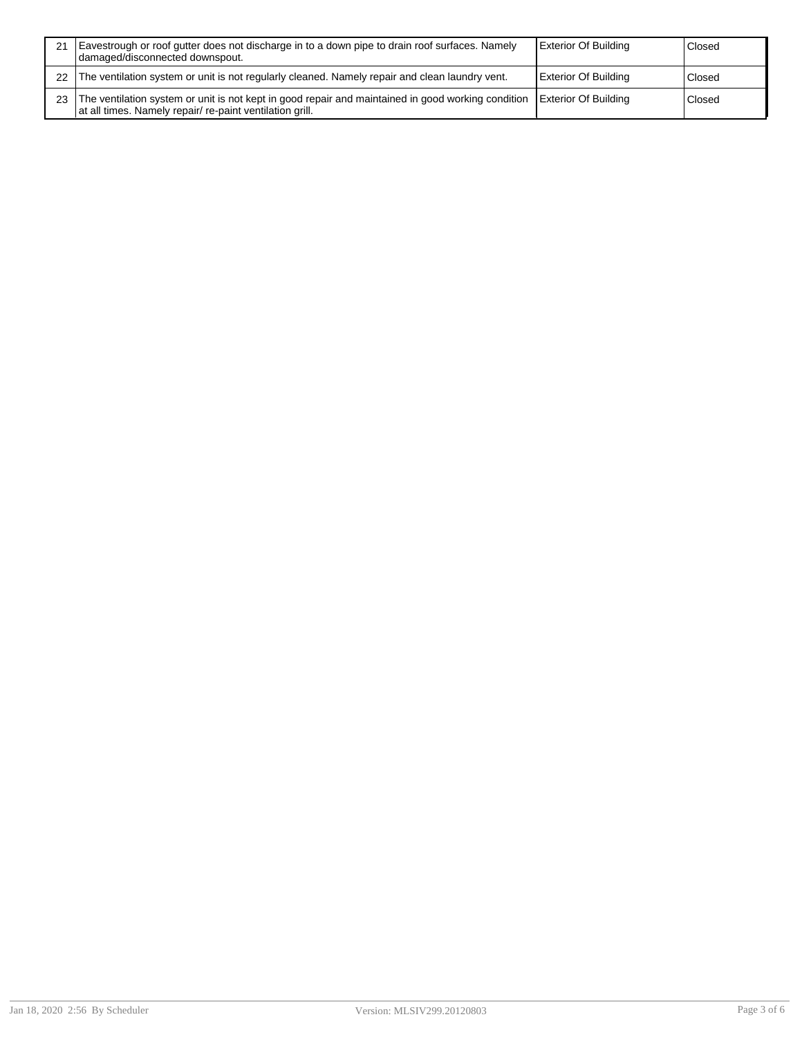|    | Eavestrough or roof gutter does not discharge in to a down pipe to drain roof surfaces. Namely<br>I damaged/disconnected downspout.                            | <b>Exterior Of Building</b> | Closed |
|----|----------------------------------------------------------------------------------------------------------------------------------------------------------------|-----------------------------|--------|
| 22 | The ventilation system or unit is not regularly cleaned. Namely repair and clean laundry vent.                                                                 | <b>Exterior Of Building</b> | Closed |
| 23 | The ventilation system or unit is not kept in good repair and maintained in good working condition<br>at all times. Namely repair/ re-paint ventilation grill. | Exterior Of Building        | Closed |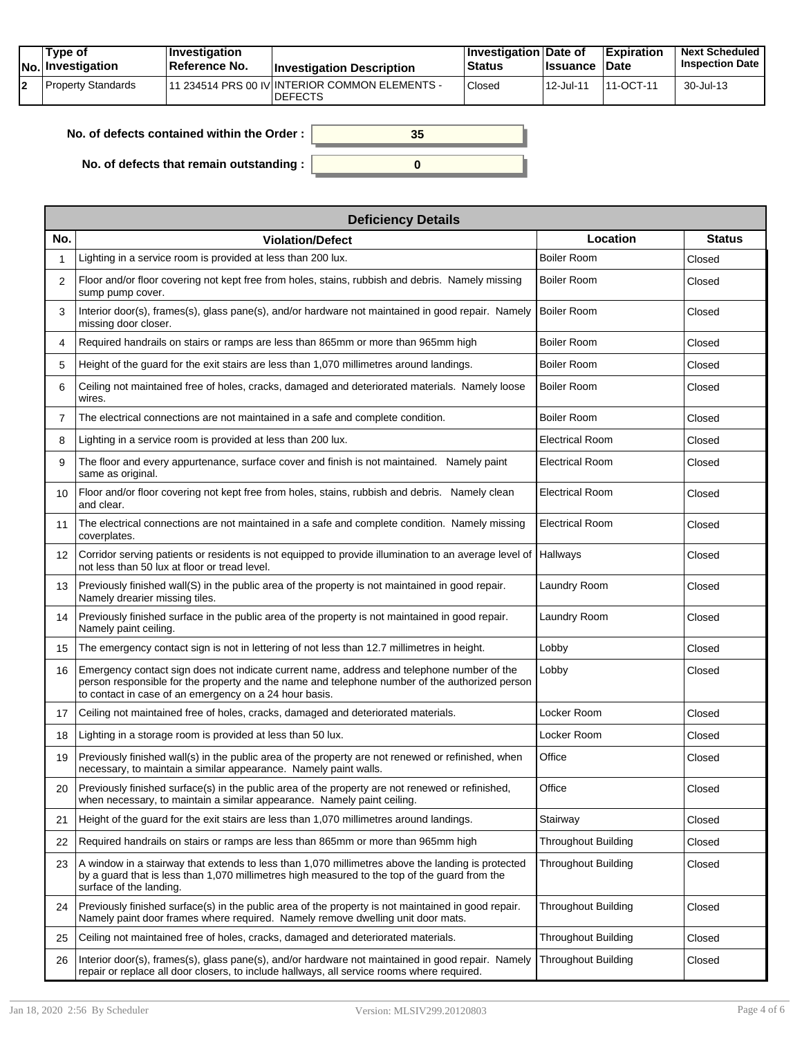|  | Tvpe of<br><b>No.</b> Investigation | <b>Investigation</b><br>Reference No. | <b>Investigation Description</b>                                  | <b>Investigation Date of</b><br><b>Status</b> | <b>Issuance Date</b> | Expiration | <b>Next Scheduled</b><br><b>Inspection Date</b> |
|--|-------------------------------------|---------------------------------------|-------------------------------------------------------------------|-----------------------------------------------|----------------------|------------|-------------------------------------------------|
|  | Property Standards                  |                                       | 111 234514 PRS 00 IV INTERIOR COMMON ELEMENTS -<br><b>DEFECTS</b> | Closed                                        | 12-Jul-11            | 111-OCT-11 | 30-Jul-13                                       |

F

**0**

**35**

| No. of defects contained within the Order: |  |  |
|--------------------------------------------|--|--|
|--------------------------------------------|--|--|

**No. of defects that remain outstanding :**

|                   | <b>Deficiency Details</b>                                                                                                                                                                                                                              |                            |               |  |  |  |  |  |
|-------------------|--------------------------------------------------------------------------------------------------------------------------------------------------------------------------------------------------------------------------------------------------------|----------------------------|---------------|--|--|--|--|--|
| No.               | <b>Violation/Defect</b>                                                                                                                                                                                                                                | Location                   | <b>Status</b> |  |  |  |  |  |
|                   | Lighting in a service room is provided at less than 200 lux.                                                                                                                                                                                           | <b>Boiler Room</b>         | Closed        |  |  |  |  |  |
| 2                 | Floor and/or floor covering not kept free from holes, stains, rubbish and debris. Namely missing<br>sump pump cover.                                                                                                                                   | <b>Boiler Room</b>         | Closed        |  |  |  |  |  |
| 3                 | Interior door(s), frames(s), glass pane(s), and/or hardware not maintained in good repair. Namely<br>missing door closer.                                                                                                                              | <b>Boiler Room</b>         | Closed        |  |  |  |  |  |
| 4                 | Required handrails on stairs or ramps are less than 865mm or more than 965mm high                                                                                                                                                                      | Boiler Room                | Closed        |  |  |  |  |  |
| 5                 | Height of the guard for the exit stairs are less than 1,070 millimetres around landings.                                                                                                                                                               | <b>Boiler Room</b>         | Closed        |  |  |  |  |  |
| 6                 | Ceiling not maintained free of holes, cracks, damaged and deteriorated materials. Namely loose<br>wires.                                                                                                                                               | <b>Boiler Room</b>         | Closed        |  |  |  |  |  |
| 7                 | The electrical connections are not maintained in a safe and complete condition.                                                                                                                                                                        | <b>Boiler Room</b>         | Closed        |  |  |  |  |  |
| 8                 | Lighting in a service room is provided at less than 200 lux.                                                                                                                                                                                           | <b>Electrical Room</b>     | Closed        |  |  |  |  |  |
| 9                 | The floor and every appurtenance, surface cover and finish is not maintained. Namely paint<br>same as original.                                                                                                                                        | <b>Electrical Room</b>     | Closed        |  |  |  |  |  |
| 10                | Floor and/or floor covering not kept free from holes, stains, rubbish and debris. Namely clean<br>and clear.                                                                                                                                           | <b>Electrical Room</b>     | Closed        |  |  |  |  |  |
| 11                | The electrical connections are not maintained in a safe and complete condition. Namely missing<br>coverplates.                                                                                                                                         | <b>Electrical Room</b>     | Closed        |  |  |  |  |  |
| $12 \overline{ }$ | Corridor serving patients or residents is not equipped to provide illumination to an average level of<br>not less than 50 lux at floor or tread level.                                                                                                 | Hallways                   | Closed        |  |  |  |  |  |
| 13                | Previously finished wall(S) in the public area of the property is not maintained in good repair.<br>Namely drearier missing tiles.                                                                                                                     | Laundry Room               | Closed        |  |  |  |  |  |
| 14                | Previously finished surface in the public area of the property is not maintained in good repair.<br>Namely paint ceiling.                                                                                                                              | Laundry Room               | Closed        |  |  |  |  |  |
| 15                | The emergency contact sign is not in lettering of not less than 12.7 millimetres in height.                                                                                                                                                            | Lobby                      | Closed        |  |  |  |  |  |
| 16                | Emergency contact sign does not indicate current name, address and telephone number of the<br>person responsible for the property and the name and telephone number of the authorized person<br>to contact in case of an emergency on a 24 hour basis. | Lobby                      | Closed        |  |  |  |  |  |
| 17                | Ceiling not maintained free of holes, cracks, damaged and deteriorated materials.                                                                                                                                                                      | Locker Room                | Closed        |  |  |  |  |  |
| 18                | Lighting in a storage room is provided at less than 50 lux.                                                                                                                                                                                            | Locker Room                | Closed        |  |  |  |  |  |
| 19                | Previously finished wall(s) in the public area of the property are not renewed or refinished, when<br>necessary, to maintain a similar appearance. Namely paint walls.                                                                                 | Office                     | Closed        |  |  |  |  |  |
| 20                | Previously finished surface(s) in the public area of the property are not renewed or refinished,<br>when necessary, to maintain a similar appearance. Namely paint ceiling.                                                                            | Office                     | Closed        |  |  |  |  |  |
| 21                | Height of the guard for the exit stairs are less than 1,070 millimetres around landings.                                                                                                                                                               | Stairway                   | Closed        |  |  |  |  |  |
| 22                | Required handrails on stairs or ramps are less than 865mm or more than 965mm high                                                                                                                                                                      | <b>Throughout Building</b> | Closed        |  |  |  |  |  |
| 23                | A window in a stairway that extends to less than 1,070 millimetres above the landing is protected<br>by a guard that is less than 1,070 millimetres high measured to the top of the guard from the<br>surface of the landing.                          | <b>Throughout Building</b> | Closed        |  |  |  |  |  |
| 24                | Previously finished surface(s) in the public area of the property is not maintained in good repair.<br>Namely paint door frames where required. Namely remove dwelling unit door mats.                                                                 | <b>Throughout Building</b> | Closed        |  |  |  |  |  |
| 25                | Ceiling not maintained free of holes, cracks, damaged and deteriorated materials.                                                                                                                                                                      | Throughout Building        | Closed        |  |  |  |  |  |
| 26                | Interior door(s), frames(s), glass pane(s), and/or hardware not maintained in good repair. Namely<br>repair or replace all door closers, to include hallways, all service rooms where required.                                                        | Throughout Building        | Closed        |  |  |  |  |  |

٦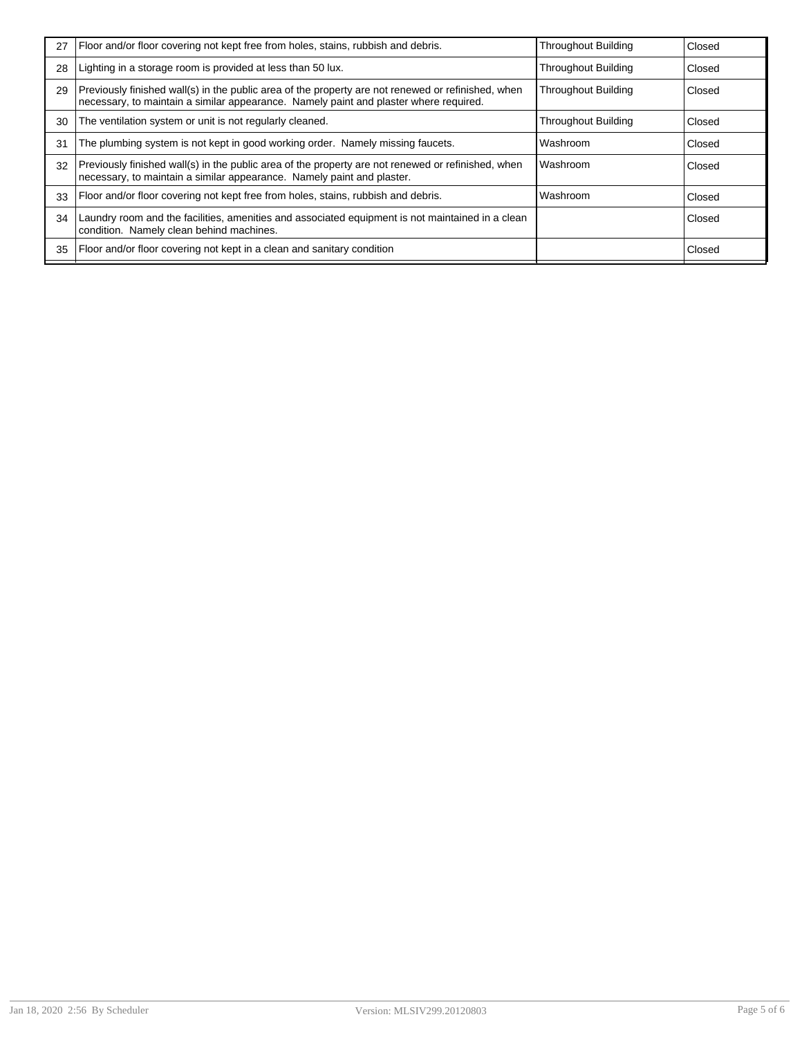| 27 | Floor and/or floor covering not kept free from holes, stains, rubbish and debris.                                                                                                           | <b>Throughout Building</b> | Closed |
|----|---------------------------------------------------------------------------------------------------------------------------------------------------------------------------------------------|----------------------------|--------|
| 28 | Lighting in a storage room is provided at less than 50 lux.                                                                                                                                 | <b>Throughout Building</b> | Closed |
| 29 | Previously finished wall(s) in the public area of the property are not renewed or refinished, when<br>necessary, to maintain a similar appearance. Namely paint and plaster where required. | <b>Throughout Building</b> | Closed |
| 30 | The ventilation system or unit is not regularly cleaned.                                                                                                                                    | <b>Throughout Building</b> | Closed |
| 31 | The plumbing system is not kept in good working order. Namely missing faucets.                                                                                                              | Washroom                   | Closed |
| 32 | Previously finished wall(s) in the public area of the property are not renewed or refinished, when<br>necessary, to maintain a similar appearance. Namely paint and plaster.                | Washroom                   | Closed |
| 33 | Floor and/or floor covering not kept free from holes, stains, rubbish and debris.                                                                                                           | Washroom                   | Closed |
| 34 | Laundry room and the facilities, amenities and associated equipment is not maintained in a clean<br>condition. Namely clean behind machines.                                                |                            | Closed |
| 35 | Floor and/or floor covering not kept in a clean and sanitary condition                                                                                                                      |                            | Closed |